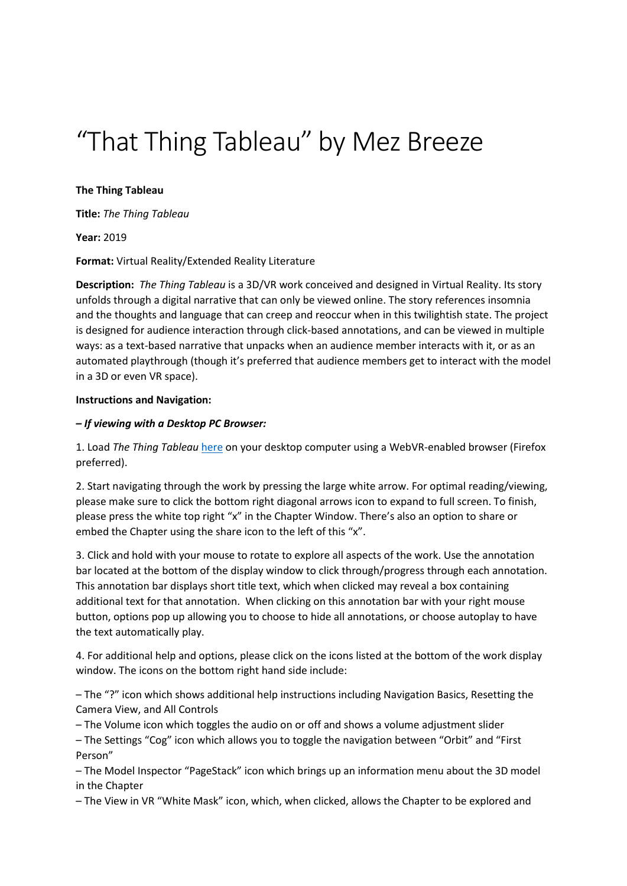# "That Thing Tableau" by Mez Breeze

#### **The Thing Tableau**

**Title:** *The Thing Tableau*

#### **Year:** 2019

**Format:** Virtual Reality/Extended Reality Literature

**Description:** *The Thing Tableau* is a 3D/VR work conceived and designed in Virtual Reality. Its story unfolds through a digital narrative that can only be viewed online. The story references insomnia and the thoughts and language that can creep and reoccur when in this twilightish state. The project is designed for audience interaction through click-based annotations, and can be viewed in multiple ways: as a text-based narrative that unpacks when an audience member interacts with it, or as an automated playthrough (though it's preferred that audience members get to interact with the model in a 3D or even VR space).

#### **Instructions and Navigation:**

#### *– If viewing with a Desktop PC Browser:*

1. Load *The Thing Tableau* [here](https://sketchfab.com/3d-models/the-thing-tableau-3a6f8f31dbb74754bcf8ec6c353f1503) on your desktop computer using a WebVR-enabled browser (Firefox preferred).

2. Start navigating through the work by pressing the large white arrow. For optimal reading/viewing, please make sure to click the bottom right diagonal arrows icon to expand to full screen. To finish, please press the white top right "x" in the Chapter Window. There's also an option to share or embed the Chapter using the share icon to the left of this "x".

3. Click and hold with your mouse to rotate to explore all aspects of the work. Use the annotation bar located at the bottom of the display window to click through/progress through each annotation. This annotation bar displays short title text, which when clicked may reveal a box containing additional text for that annotation. When clicking on this annotation bar with your right mouse button, options pop up allowing you to choose to hide all annotations, or choose autoplay to have the text automatically play.

4. For additional help and options, please click on the icons listed at the bottom of the work display window. The icons on the bottom right hand side include:

– The "?" icon which shows additional help instructions including Navigation Basics, Resetting the Camera View, and All Controls

– The Volume icon which toggles the audio on or off and shows a volume adjustment slider

– The Settings "Cog" icon which allows you to toggle the navigation between "Orbit" and "First Person"

– The Model Inspector "PageStack" icon which brings up an information menu about the 3D model in the Chapter

– The View in VR "White Mask" icon, which, when clicked, allows the Chapter to be explored and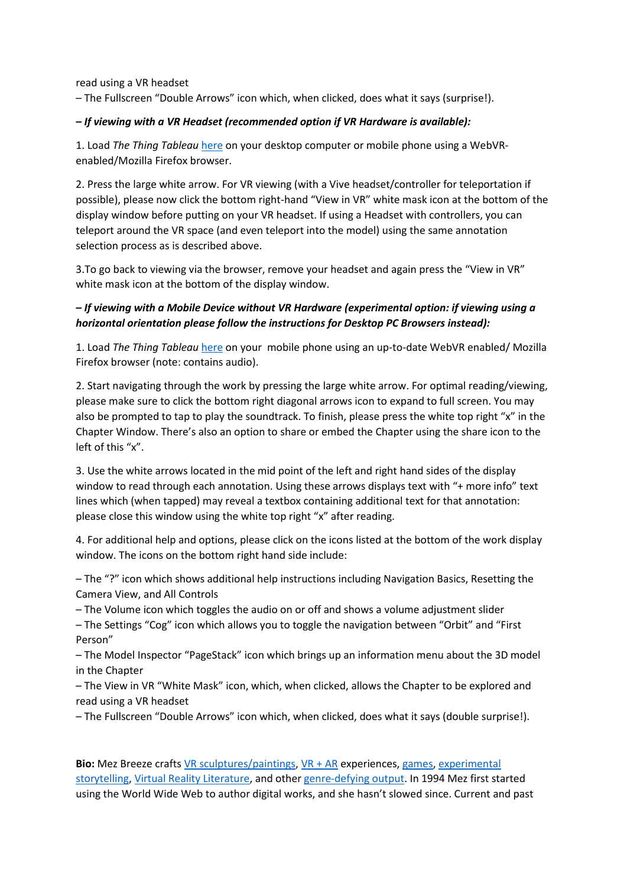read using a VR headset

– The Fullscreen "Double Arrows" icon which, when clicked, does what it says (surprise!).

### *– If viewing with a VR Headset (recommended option if VR Hardware is available):*

1. Load *The Thing Tableau* [here](https://sketchfab.com/3d-models/the-thing-tableau-3a6f8f31dbb74754bcf8ec6c353f1503) on your desktop computer or mobile phone using a WebVRenabled/Mozilla Firefox browser.

2. Press the large white arrow. For VR viewing (with a Vive headset/controller for teleportation if possible), please now click the bottom right-hand "View in VR" white mask icon at the bottom of the display window before putting on your VR headset. If using a Headset with controllers, you can teleport around the VR space (and even teleport into the model) using the same annotation selection process as is described above.

3.To go back to viewing via the browser, remove your headset and again press the "View in VR" white mask icon at the bottom of the display window.

## *– If viewing with a Mobile Device without VR Hardware (experimental option: if viewing using a horizontal orientation please follow the instructions for Desktop PC Browsers instead):*

1. Load *The Thing Tableau* [here](https://sketchfab.com/3d-models/the-thing-tableau-3a6f8f31dbb74754bcf8ec6c353f1503) on your mobile phone using an up-to-date WebVR enabled/ Mozilla Firefox browser (note: contains audio).

2. Start navigating through the work by pressing the large white arrow. For optimal reading/viewing, please make sure to click the bottom right diagonal arrows icon to expand to full screen. You may also be prompted to tap to play the soundtrack. To finish, please press the white top right "x" in the Chapter Window. There's also an option to share or embed the Chapter using the share icon to the left of this "x".

3. Use the white arrows located in the mid point of the left and right hand sides of the display window to read through each annotation. Using these arrows displays text with "+ more info" text lines which (when tapped) may reveal a textbox containing additional text for that annotation: please close this window using the white top right "x" after reading.

4. For additional help and options, please click on the icons listed at the bottom of the work display window. The icons on the bottom right hand side include:

– The "?" icon which shows additional help instructions including Navigation Basics, Resetting the Camera View, and All Controls

– The Volume icon which toggles the audio on or off and shows a volume adjustment slider

– The Settings "Cog" icon which allows you to toggle the navigation between "Orbit" and "First Person"

– The Model Inspector "PageStack" icon which brings up an information menu about the 3D model in the Chapter

– The View in VR "White Mask" icon, which, when clicked, allows the Chapter to be explored and read using a VR headset

– The Fullscreen "Double Arrows" icon which, when clicked, does what it says (double surprise!).

**Bio:** Mez Breeze crafts [VR sculptures/paintings,](http://mezbreezedesign.com/vr-gallery/) [VR + AR](http://perpetual-nomads.com/news/inanimate-alice-perpetual-nomads-early-access-release-now-out/) experiences, [games,](https://www.manchestersciencefestival.com/2017/09/award-win-delicate-duplicates/) [experimental](http://rhizome.org/editorial/2016/dec/15/mezangelle-an-online-language-for-codework-and-poetry/)  [storytelling,](http://rhizome.org/editorial/2016/dec/15/mezangelle-an-online-language-for-codework-and-poetry/) [Virtual Reality Literature,](http://thewritingplatform.com/2018/07/virtual-reality-literature-examples-potentials/) and othe[r genre-defying output.](http://cordite.org.au/essays/sidestepping-the-known/) In 1994 Mez first started using the World Wide Web to author digital works, and she hasn't slowed since. Current and past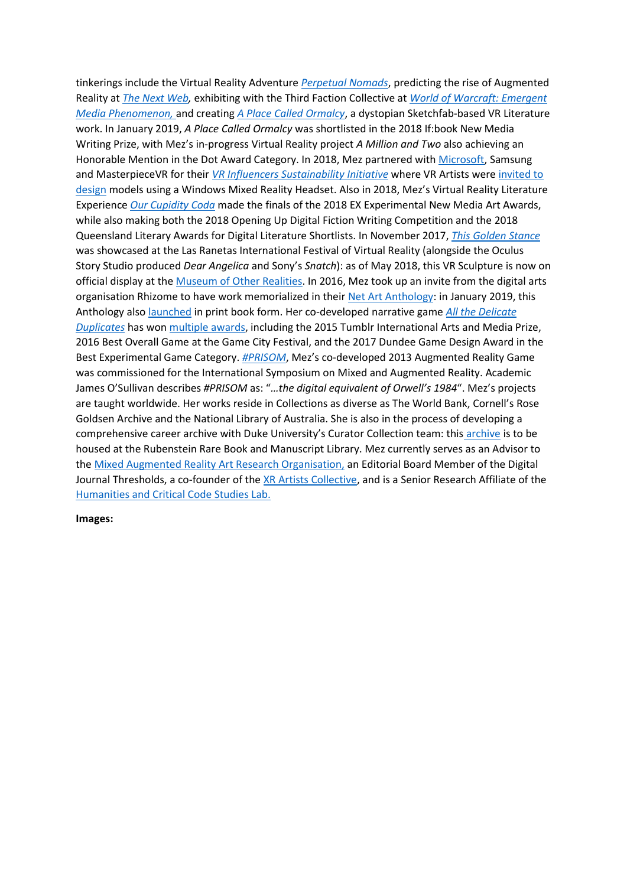tinkerings include the Virtual Reality Adventure *[Perpetual Nomads](http://mezbreezedesign.com/2018/11/08/perpetual-nomads-news-aplenty/)*, predicting the rise of Augmented Reality at *[The Next Web,](https://thenextweb.com/insider/2012/08/25/how-augmented-reality-will-change-way-live/)* exhibiting with the Third Faction Collective at *[World of Warcraft: Emergent](https://en.wikipedia.org/wiki/WoW%3A_Emergent_Media_Phenomenon)  [Media Phenomenon,](https://en.wikipedia.org/wiki/WoW%3A_Emergent_Media_Phenomenon)* and creating *[A Place Called Ormalcy](http://mezbreezedesign.com/vr-literature/a-place-called-ormalcy/)*, a dystopian Sketchfab-based VR Literature work. In January 2019, *A Place Called Ormalcy* was shortlisted in the 2018 If:book New Media Writing Prize, with Mez's in-progress Virtual Reality project *A Million and Two* also achieving an Honorable Mention in the Dot Award Category. In 2018, Mez partnered wit[h Microsoft,](https://www.microsoft.com/inculture/virtual-reality-artists-earth-day-mez-breeze/) Samsung and MasterpieceVR for their *[VR Influencers Sustainability Initiative](https://www.masterpiecevr.com/artist-spotlight)* where VR Artists were [invited to](https://www.microsoft.com/inculture/virtual-reality-artists-earth-day/)  [design](https://www.microsoft.com/inculture/virtual-reality-artists-earth-day/) models using a Windows Mixed Reality Headset. Also in 2018, Mez's Virtual Reality Literature Experience *[Our Cupidity Coda](http://mezbreezedesign.com/Our-Cupidity-Coda)* made the finals of the 2018 EX Experimental New Media Art Awards, while also making both the 2018 Opening Up Digital Fiction Writing Competition and the 2018 Queensland Literary Awards for Digital Literature Shortlists. In November 2017, *[This Golden Stance](http://mezbreezedesign.com/2017/11/02/2017-international-festival-of-virtual-reality-las-ranetas/)* was showcased at the Las Ranetas International Festival of Virtual Reality (alongside the Oculus Story Studio produced *Dear Angelica* and Sony's *Snatch*): as of May 2018, this VR Sculpture is now on official display at the [Museum of Other Realities.](http://museumofotherrealities.com/) In 2016, Mez took up an invite from the digital arts organisation Rhizome to have work memorialized in thei[r Net Art Anthology:](http://rhizome.org/editorial/2016/dec/15/mezangelle-an-online-language-for-codework-and-poetry/) in January 2019, this Anthology also [launched](https://www.newmuseum.org/calendar/view/1477/all-our-visited-links) in print book form. Her co-developed narrative game *[All the Delicate](http://store.steampowered.com/app/531140/All_the_Delicate_Duplicates/)  [Duplicates](http://store.steampowered.com/app/531140/All_the_Delicate_Duplicates/)* has won [multiple awards,](https://lareviewofbooks.org/article/electronic-literature-turns-a-new-page-breeze-and-campbells-all-the-delicate-duplicates/) including the 2015 Tumblr International Arts and Media Prize, 2016 Best Overall Game at the Game City Festival, and the 2017 Dundee Game Design Award in the Best Experimental Game Category. *[#PRISOM](http://prisom.me/)*, Mez's co-developed 2013 Augmented Reality Game was commissioned for the International Symposium on Mixed and Augmented Reality. Academic James O'Sullivan describes *#PRISOM* as: "*…the digital equivalent of Orwell's 1984*". Mez's projects are taught worldwide. Her works reside in Collections as diverse as The World Bank, Cornell's Rose Goldsen Archive and the National Library of Australia. She is also in the process of developing a comprehensive career archive with Duke University's Curator Collection team: this [archive](https://www.youtube.com/watch?v=p5nyrspRHsY&feature=youtu.be&t=1317) is to be housed at the Rubenstein Rare Book and Manuscript Library. Mez currently serves as an Advisor to th[e Mixed Augmented Reality Art Research Organisation,](http://marart.org/#/home) an Editorial Board Member of the Digital Journal Thresholds, a co-founder of the [XR Artists Collective,](http://xrartistscollective.com/) and is a Senior Research Affiliate of the [Humanities and Critical Code Studies Lab.](http://haccslab.com/)

**Images:**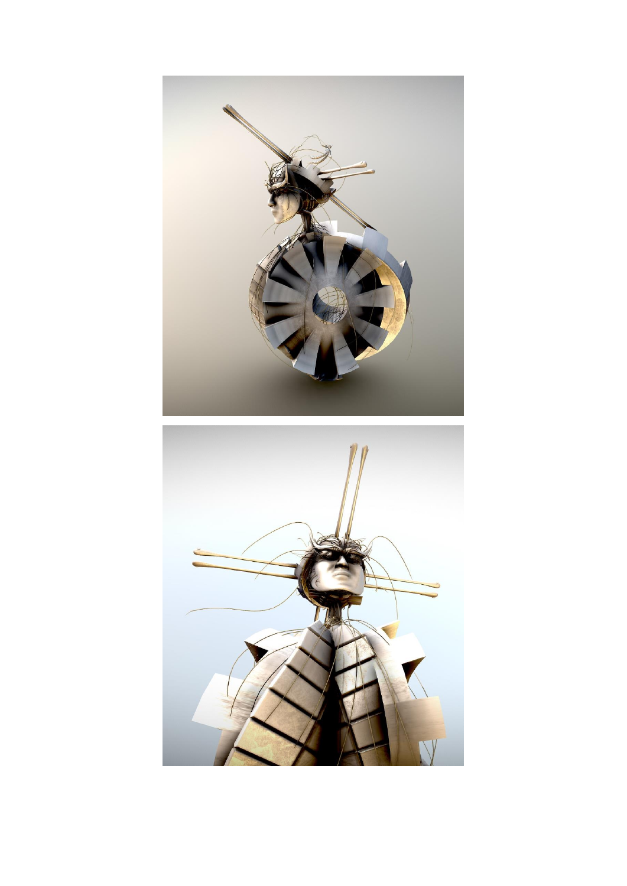